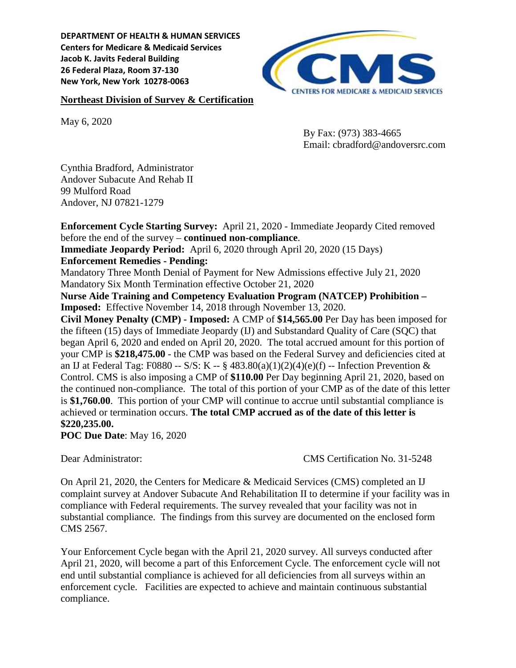**DEPARTMENT OF HEALTH & HUMAN SERVICES Centers for Medicare & Medicaid Services Jacob K. Javits Federal Building 26 Federal Plaza, Room 37-130 New York, New York 10278-0063**

#### **Northeast Division of Survey & Certification**

May 6, 2020

By Fax: (973) 383-4665 Email: cbradford@andoversrc.com

Cynthia Bradford, Administrator Andover Subacute And Rehab II 99 Mulford Road Andover, NJ 07821-1279

**Enforcement Cycle Starting Survey:** April 21, 2020 - Immediate Jeopardy Cited removed before the end of the survey – **continued non-compliance**.

**Immediate Jeopardy Period:** April 6, 2020 through April 20, 2020 (15 Days)

#### **Enforcement Remedies - Pending:**

Mandatory Three Month Denial of Payment for New Admissions effective July 21, 2020 Mandatory Six Month Termination effective October 21, 2020

**Nurse Aide Training and Competency Evaluation Program (NATCEP) Prohibition – Imposed:** Effective November 14, 2018 through November 13, 2020.

**Civil Money Penalty (CMP) - Imposed:** A CMP of **\$14,565.00** Per Day has been imposed for the fifteen (15) days of Immediate Jeopardy (IJ) and Substandard Quality of Care (SQC) that began April 6, 2020 and ended on April 20, 2020. The total accrued amount for this portion of your CMP is **\$218,475.00** - the CMP was based on the Federal Survey and deficiencies cited at an IJ at Federal Tag: F0880 -- S/S: K -- § 483.80(a)(1)(2)(4)(e)(f) -- Infection Prevention & Control. CMS is also imposing a CMP of **\$110.00** Per Day beginning April 21, 2020, based on the continued non-compliance. The total of this portion of your CMP as of the date of this letter is **\$1,760.00**. This portion of your CMP will continue to accrue until substantial compliance is achieved or termination occurs. **The total CMP accrued as of the date of this letter is \$220,235.00.**

**POC Due Date**: May 16, 2020

Dear Administrator: CMS Certification No. 31-5248

On April 21, 2020, the Centers for Medicare & Medicaid Services (CMS) completed an IJ complaint survey at Andover Subacute And Rehabilitation II to determine if your facility was in compliance with Federal requirements. The survey revealed that your facility was not in substantial compliance. The findings from this survey are documented on the enclosed form CMS 2567.

Your Enforcement Cycle began with the April 21, 2020 survey. All surveys conducted after April 21, 2020, will become a part of this Enforcement Cycle. The enforcement cycle will not end until substantial compliance is achieved for all deficiencies from all surveys within an enforcement cycle. Facilities are expected to achieve and maintain continuous substantial compliance.

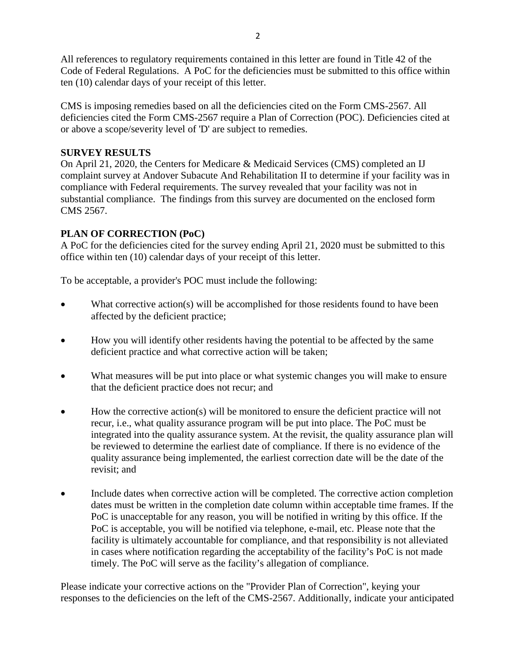All references to regulatory requirements contained in this letter are found in Title 42 of the Code of Federal Regulations. A PoC for the deficiencies must be submitted to this office within ten (10) calendar days of your receipt of this letter.

CMS is imposing remedies based on all the deficiencies cited on the Form CMS-2567. All deficiencies cited the Form CMS-2567 require a Plan of Correction (POC). Deficiencies cited at or above a scope/severity level of 'D' are subject to remedies.

## **SURVEY RESULTS**

On April 21, 2020, the Centers for Medicare & Medicaid Services (CMS) completed an IJ complaint survey at Andover Subacute And Rehabilitation II to determine if your facility was in compliance with Federal requirements. The survey revealed that your facility was not in substantial compliance. The findings from this survey are documented on the enclosed form CMS 2567.

# **PLAN OF CORRECTION (PoC)**

A PoC for the deficiencies cited for the survey ending April 21, 2020 must be submitted to this office within ten (10) calendar days of your receipt of this letter.

To be acceptable, a provider's POC must include the following:

- What corrective action(s) will be accomplished for those residents found to have been affected by the deficient practice;
- How you will identify other residents having the potential to be affected by the same deficient practice and what corrective action will be taken;
- What measures will be put into place or what systemic changes you will make to ensure that the deficient practice does not recur; and
- How the corrective action(s) will be monitored to ensure the deficient practice will not recur, i.e., what quality assurance program will be put into place. The PoC must be integrated into the quality assurance system. At the revisit, the quality assurance plan will be reviewed to determine the earliest date of compliance. If there is no evidence of the quality assurance being implemented, the earliest correction date will be the date of the revisit; and
- Include dates when corrective action will be completed. The corrective action completion dates must be written in the completion date column within acceptable time frames. If the PoC is unacceptable for any reason, you will be notified in writing by this office. If the PoC is acceptable, you will be notified via telephone, e-mail, etc. Please note that the facility is ultimately accountable for compliance, and that responsibility is not alleviated in cases where notification regarding the acceptability of the facility's PoC is not made timely. The PoC will serve as the facility's allegation of compliance.

Please indicate your corrective actions on the "Provider Plan of Correction", keying your responses to the deficiencies on the left of the CMS-2567. Additionally, indicate your anticipated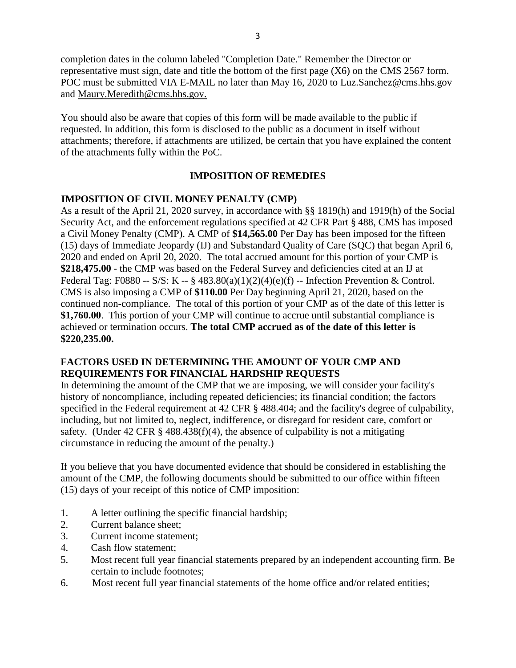completion dates in the column labeled "Completion Date." Remember the Director or representative must sign, date and title the bottom of the first page (X6) on the CMS 2567 form. POC must be submitted VIA E-MAIL no later than May 16, 2020 to Luz.Sanchez@cms.hhs.gov and Maury.Meredith@cms.hhs.gov.

You should also be aware that copies of this form will be made available to the public if requested. In addition, this form is disclosed to the public as a document in itself without attachments; therefore, if attachments are utilized, be certain that you have explained the content of the attachments fully within the PoC.

## **IMPOSITION OF REMEDIES**

#### **IMPOSITION OF CIVIL MONEY PENALTY (CMP)**

As a result of the April 21, 2020 survey, in accordance with §§ 1819(h) and 1919(h) of the Social Security Act, and the enforcement regulations specified at 42 CFR Part § 488, CMS has imposed a Civil Money Penalty (CMP). A CMP of **\$14,565.00** Per Day has been imposed for the fifteen (15) days of Immediate Jeopardy (IJ) and Substandard Quality of Care (SQC) that began April 6, 2020 and ended on April 20, 2020. The total accrued amount for this portion of your CMP is **\$218,475.00** - the CMP was based on the Federal Survey and deficiencies cited at an IJ at Federal Tag: F0880 -- S/S: K -- § 483.80(a)(1)(2)(4)(e)(f) -- Infection Prevention & Control. CMS is also imposing a CMP of **\$110.00** Per Day beginning April 21, 2020, based on the continued non-compliance. The total of this portion of your CMP as of the date of this letter is **\$1,760.00**. This portion of your CMP will continue to accrue until substantial compliance is achieved or termination occurs. **The total CMP accrued as of the date of this letter is \$220,235.00.**

#### **FACTORS USED IN DETERMINING THE AMOUNT OF YOUR CMP AND REQUIREMENTS FOR FINANCIAL HARDSHIP REQUESTS**

In determining the amount of the CMP that we are imposing, we will consider your facility's history of noncompliance, including repeated deficiencies; its financial condition; the factors specified in the Federal requirement at 42 CFR § 488.404; and the facility's degree of culpability, including, but not limited to, neglect, indifference, or disregard for resident care, comfort or safety. (Under 42 CFR  $\S$  488.438(f)(4), the absence of culpability is not a mitigating circumstance in reducing the amount of the penalty.)

If you believe that you have documented evidence that should be considered in establishing the amount of the CMP, the following documents should be submitted to our office within fifteen (15) days of your receipt of this notice of CMP imposition:

- 1. A letter outlining the specific financial hardship;
- 2. Current balance sheet;
- 3. Current income statement;
- 4. Cash flow statement;
- 5. Most recent full year financial statements prepared by an independent accounting firm. Be certain to include footnotes;
- 6. Most recent full year financial statements of the home office and/or related entities;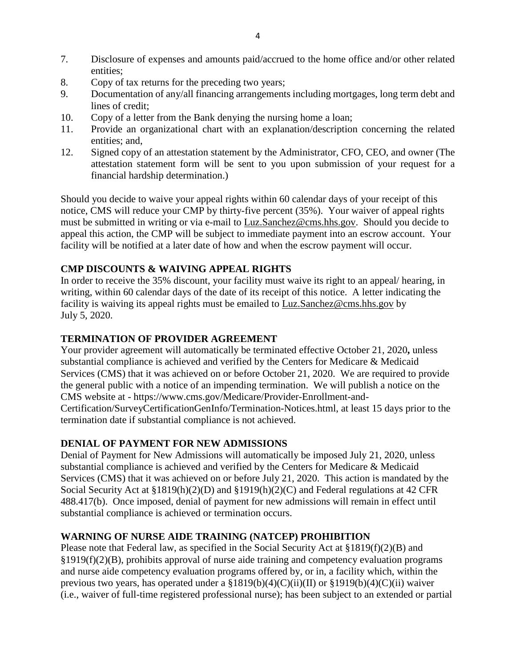- 7. Disclosure of expenses and amounts paid/accrued to the home office and/or other related entities;
- 8. Copy of tax returns for the preceding two years;
- 9. Documentation of any/all financing arrangements including mortgages, long term debt and lines of credit;
- 10. Copy of a letter from the Bank denying the nursing home a loan;
- 11. Provide an organizational chart with an explanation/description concerning the related entities; and,
- 12. Signed copy of an attestation statement by the Administrator, CFO, CEO, and owner (The attestation statement form will be sent to you upon submission of your request for a financial hardship determination.)

Should you decide to waive your appeal rights within 60 calendar days of your receipt of this notice, CMS will reduce your CMP by thirty-five percent (35%). Your waiver of appeal rights must be submitted in writing or via e-mail to Luz.Sanchez@cms.hhs.gov. Should you decide to appeal this action, the CMP will be subject to immediate payment into an escrow account. Your facility will be notified at a later date of how and when the escrow payment will occur.

## **CMP DISCOUNTS & WAIVING APPEAL RIGHTS**

In order to receive the 35% discount, your facility must waive its right to an appeal/ hearing, in writing, within 60 calendar days of the date of its receipt of this notice. A letter indicating the facility is waiving its appeal rights must be emailed to Luz.Sanchez@cms.hhs.gov by July 5, 2020.

#### **TERMINATION OF PROVIDER AGREEMENT**

Your provider agreement will automatically be terminated effective October 21, 2020**,** unless substantial compliance is achieved and verified by the Centers for Medicare & Medicaid Services (CMS) that it was achieved on or before October 21, 2020. We are required to provide the general public with a notice of an impending termination. We will publish a notice on the CMS website at - https://www.cms.gov/Medicare/Provider-Enrollment-and-Certification/SurveyCertificationGenInfo/Termination-Notices.html, at least 15 days prior to the termination date if substantial compliance is not achieved.

## **DENIAL OF PAYMENT FOR NEW ADMISSIONS**

Denial of Payment for New Admissions will automatically be imposed July 21, 2020, unless substantial compliance is achieved and verified by the Centers for Medicare & Medicaid Services (CMS) that it was achieved on or before July 21, 2020. This action is mandated by the Social Security Act at §1819(h)(2)(D) and §1919(h)(2)(C) and Federal regulations at 42 CFR 488.417(b). Once imposed, denial of payment for new admissions will remain in effect until substantial compliance is achieved or termination occurs.

## **WARNING OF NURSE AIDE TRAINING (NATCEP) PROHIBITION**

Please note that Federal law, as specified in the Social Security Act at §1819(f)(2)(B) and  $\S1919(f)(2)(B)$ , prohibits approval of nurse aide training and competency evaluation programs and nurse aide competency evaluation programs offered by, or in, a facility which, within the previous two years, has operated under a  $$1819(b)(4)(C)(ii)(II)$  or  $$1919(b)(4)(C)(ii)$  waiver (i.e., waiver of full-time registered professional nurse); has been subject to an extended or partial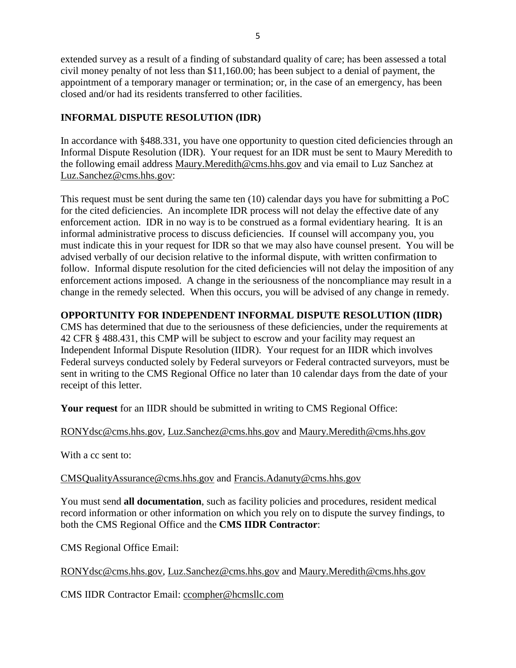extended survey as a result of a finding of substandard quality of care; has been assessed a total civil money penalty of not less than \$11,160.00; has been subject to a denial of payment, the appointment of a temporary manager or termination; or, in the case of an emergency, has been closed and/or had its residents transferred to other facilities.

## **INFORMAL DISPUTE RESOLUTION (IDR)**

In accordance with §488.331, you have one opportunity to question cited deficiencies through an Informal Dispute Resolution (IDR). Your request for an IDR must be sent to Maury Meredith to the following email address [Maury.Meredith@cms.hhs.gov](mailto:Maury.Meredith@cms.hhs.gov) and via email to Luz Sanchez at [Luz.Sanchez@cms.hhs.gov:](mailto:Luz.Sanchez@cms.hhs.gov)

This request must be sent during the same ten (10) calendar days you have for submitting a PoC for the cited deficiencies. An incomplete IDR process will not delay the effective date of any enforcement action. IDR in no way is to be construed as a formal evidentiary hearing. It is an informal administrative process to discuss deficiencies. If counsel will accompany you, you must indicate this in your request for IDR so that we may also have counsel present. You will be advised verbally of our decision relative to the informal dispute, with written confirmation to follow. Informal dispute resolution for the cited deficiencies will not delay the imposition of any enforcement actions imposed. A change in the seriousness of the noncompliance may result in a change in the remedy selected. When this occurs, you will be advised of any change in remedy.

# **OPPORTUNITY FOR INDEPENDENT INFORMAL DISPUTE RESOLUTION (IIDR)**

CMS has determined that due to the seriousness of these deficiencies, under the requirements at 42 CFR § 488.431, this CMP will be subject to escrow and your facility may request an Independent Informal Dispute Resolution (IIDR). Your request for an IIDR which involves Federal surveys conducted solely by Federal surveyors or Federal contracted surveyors, must be sent in writing to the CMS Regional Office no later than 10 calendar days from the date of your receipt of this letter.

**Your request** for an IIDR should be submitted in writing to CMS Regional Office:

# [RONYdsc@cms.hhs.gov,](mailto:RONYdsc@cms.hhs.gov) [Luz.Sanchez@cms.hhs.gov](mailto:Luz.Sanchez@cms.hhs.gov) and [Maury.Meredith@cms.hhs.gov](mailto:Maury.Meredith@cms.hhs.gov)

With a cc sent to:

# [CMSQualityAssurance@cms.hhs.gov](mailto:CMSQualityAssurance@cms.hhs.gov) and [Francis.Adanuty@cms.hhs.gov](mailto:Francis.Adanuty@cms.hhs.gov)

You must send **all documentation**, such as facility policies and procedures, resident medical record information or other information on which you rely on to dispute the survey findings, to both the CMS Regional Office and the **CMS IIDR Contractor**:

CMS Regional Office Email:

[RONYdsc@cms.hhs.gov,](mailto:RONYdsc@cms.hhs.gov) [Luz.Sanchez@cms.hhs.gov](mailto:Luz.Sanchez@cms.hhs.gov) and [Maury.Meredith@cms.hhs.gov](mailto:Maury.Meredith@cms.hhs.gov)

CMS IIDR Contractor Email: [ccompher@hcmsllc.com](mailto:ccompher@hcmsllc.com)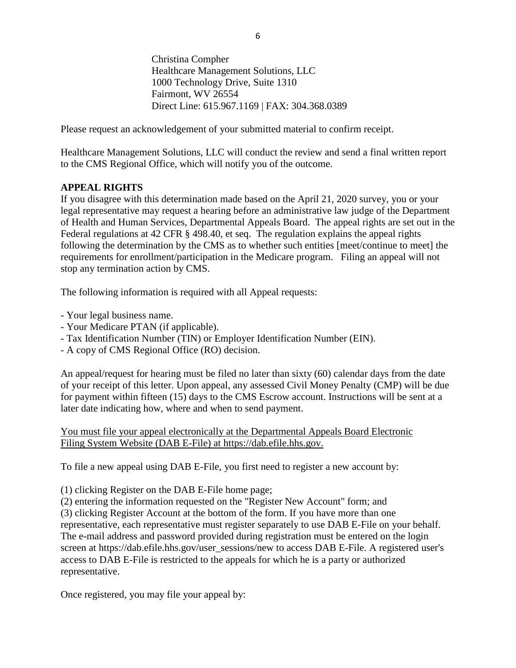Christina Compher Healthcare Management Solutions, LLC 1000 Technology Drive, Suite 1310 Fairmont, WV 26554 Direct Line: 615.967.1169 | FAX: 304.368.0389

Please request an acknowledgement of your submitted material to confirm receipt.

Healthcare Management Solutions, LLC will conduct the review and send a final written report to the CMS Regional Office, which will notify you of the outcome.

#### **APPEAL RIGHTS**

If you disagree with this determination made based on the April 21, 2020 survey, you or your legal representative may request a hearing before an administrative law judge of the Department of Health and Human Services, Departmental Appeals Board. The appeal rights are set out in the Federal regulations at 42 CFR § 498.40, et seq. The regulation explains the appeal rights following the determination by the CMS as to whether such entities [meet/continue to meet] the requirements for enrollment/participation in the Medicare program. Filing an appeal will not stop any termination action by CMS.

The following information is required with all Appeal requests:

- Your legal business name.
- Your Medicare PTAN (if applicable).
- Tax Identification Number (TIN) or Employer Identification Number (EIN).
- A copy of CMS Regional Office (RO) decision.

An appeal/request for hearing must be filed no later than sixty (60) calendar days from the date of your receipt of this letter. Upon appeal, any assessed Civil Money Penalty (CMP) will be due for payment within fifteen (15) days to the CMS Escrow account. Instructions will be sent at a later date indicating how, where and when to send payment.

You must file your appeal electronically at the Departmental Appeals Board Electronic Filing System Website (DAB E-File) at [https://dab.efile.hhs.gov.](https://dab.efile.hhs.gov/)

To file a new appeal using DAB E-File, you first need to register a new account by:

(1) clicking Register on the DAB E-File home page;

(2) entering the information requested on the "Register New Account" form; and

(3) clicking Register Account at the bottom of the form. If you have more than one representative, each representative must register separately to use DAB E-File on your behalf. The e-mail address and password provided during registration must be entered on the login screen at https://dab.efile.hhs.gov/user\_sessions/new to access DAB E-File. A registered user's access to DAB E-File is restricted to the appeals for which he is a party or authorized representative.

Once registered, you may file your appeal by: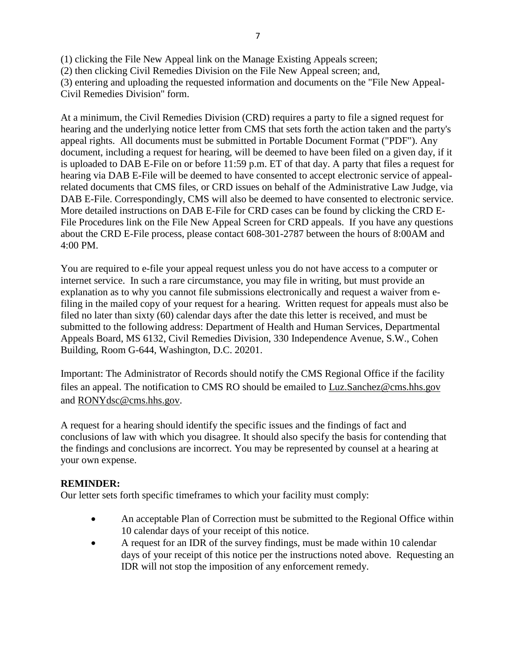(1) clicking the File New Appeal link on the Manage Existing Appeals screen;

(2) then clicking Civil Remedies Division on the File New Appeal screen; and,

(3) entering and uploading the requested information and documents on the "File New Appeal-Civil Remedies Division" form.

At a minimum, the Civil Remedies Division (CRD) requires a party to file a signed request for hearing and the underlying notice letter from CMS that sets forth the action taken and the party's appeal rights. All documents must be submitted in Portable Document Format ("PDF"). Any document, including a request for hearing, will be deemed to have been filed on a given day, if it is uploaded to DAB E-File on or before 11:59 p.m. ET of that day. A party that files a request for hearing via DAB E-File will be deemed to have consented to accept electronic service of appealrelated documents that CMS files, or CRD issues on behalf of the Administrative Law Judge, via DAB E-File. Correspondingly, CMS will also be deemed to have consented to electronic service. More detailed instructions on DAB E-File for CRD cases can be found by clicking the CRD E-File Procedures link on the File New Appeal Screen for CRD appeals. If you have any questions about the CRD E-File process, please contact 608-301-2787 between the hours of 8:00AM and 4:00 PM.

You are required to e-file your appeal request unless you do not have access to a computer or internet service. In such a rare circumstance, you may file in writing, but must provide an explanation as to why you cannot file submissions electronically and request a waiver from efiling in the mailed copy of your request for a hearing. Written request for appeals must also be filed no later than sixty (60) calendar days after the date this letter is received, and must be submitted to the following address: Department of Health and Human Services, Departmental Appeals Board, MS 6132, Civil Remedies Division, 330 Independence Avenue, S.W., Cohen Building, Room G-644, Washington, D.C. 20201.

Important: The Administrator of Records should notify the CMS Regional Office if the facility files an appeal. The notification to CMS RO should be emailed to Luz.Sanchez@cms.hhs.gov and RONYdsc@cms.hhs.gov.

A request for a hearing should identify the specific issues and the findings of fact and conclusions of law with which you disagree. It should also specify the basis for contending that the findings and conclusions are incorrect. You may be represented by counsel at a hearing at your own expense.

## **REMINDER:**

Our letter sets forth specific timeframes to which your facility must comply:

- An acceptable Plan of Correction must be submitted to the Regional Office within 10 calendar days of your receipt of this notice.
- A request for an IDR of the survey findings, must be made within 10 calendar days of your receipt of this notice per the instructions noted above. Requesting an IDR will not stop the imposition of any enforcement remedy.